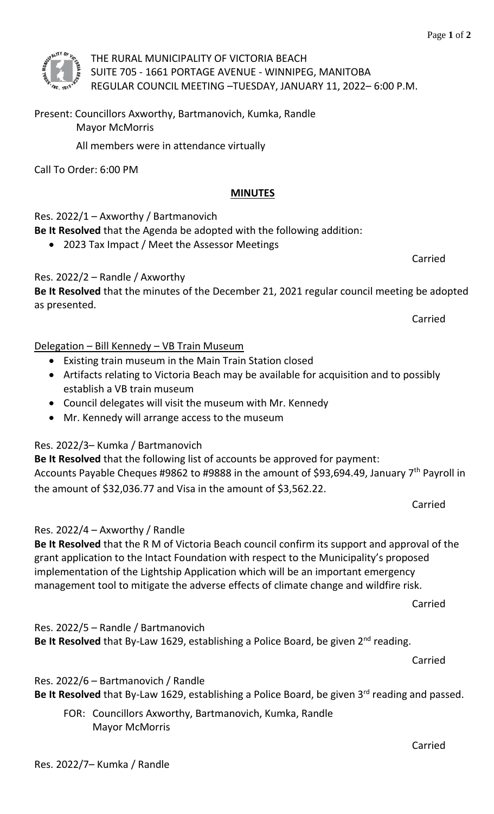

THE RURAL MUNICIPALITY OF VICTORIA BEACH SUITE 705 - 1661 PORTAGE AVENUE - WINNIPEG, MANITOBA REGULAR COUNCIL MEETING –TUESDAY, JANUARY 11, 2022– 6:00 P.M.

Present: Councillors Axworthy, Bartmanovich, Kumka, Randle Mayor McMorris

All members were in attendance virtually

Call To Order: 6:00 PM

#### **MINUTES**

Res. 2022/1 – Axworthy / Bartmanovich

**Be It Resolved** that the Agenda be adopted with the following addition:

• 2023 Tax Impact / Meet the Assessor Meetings

Res. 2022/2 – Randle / Axworthy

**Be It Resolved** that the minutes of the December 21, 2021 regular council meeting be adopted as presented.

Carried

Carried

# Delegation – Bill Kennedy – VB Train Museum

- Existing train museum in the Main Train Station closed
- Artifacts relating to Victoria Beach may be available for acquisition and to possibly establish a VB train museum
- Council delegates will visit the museum with Mr. Kennedy
- Mr. Kennedy will arrange access to the museum

# Res. 2022/3– Kumka / Bartmanovich

**Be It Resolved** that the following list of accounts be approved for payment: Accounts Payable Cheques #9862 to #9888 in the amount of \$93,694.49, January 7<sup>th</sup> Payroll in the amount of \$32,036.77 and Visa in the amount of \$3,562.22.

Carried

# Res. 2022/4 – Axworthy / Randle

**Be It Resolved** that the R M of Victoria Beach council confirm its support and approval of the grant application to the Intact Foundation with respect to the Municipality's proposed implementation of the Lightship Application which will be an important emergency management tool to mitigate the adverse effects of climate change and wildfire risk.

Carried

Res. 2022/5 – Randle / Bartmanovich

**Be It Resolved** that By-Law 1629, establishing a Police Board, be given 2<sup>nd</sup> reading.

Carried

# Res. 2022/6 – Bartmanovich / Randle

Be It Resolved that By-Law 1629, establishing a Police Board, be given 3<sup>rd</sup> reading and passed.

FOR: Councillors Axworthy, Bartmanovich, Kumka, Randle Mayor McMorris

Carried